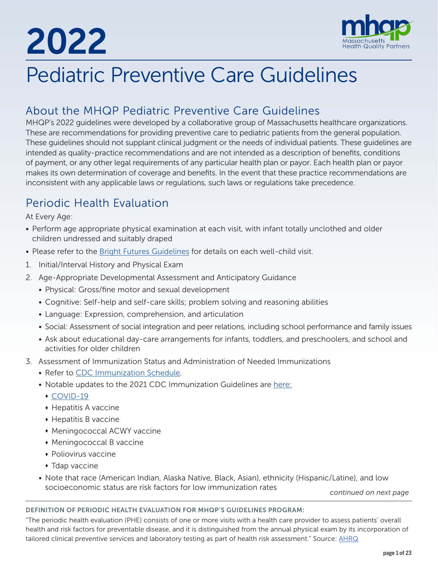# 2022



# Pediatric Preventive Care Guidelines

# About the MHQP Pediatric Preventive Care Guidelines

MHQP's 2022 guidelines were developed by a collaborative group of Massachusetts healthcare organizations. These are recommendations for providing preventive care to pediatric patients from the general population. These guidelines should not supplant clinical judgment or the needs of individual patients. These guidelines are intended as quality-practice recommendations and are not intended as a description of benefits, conditions of payment, or any other legal requirements of any particular health plan or payor. Each health plan or payor makes its own determination of coverage and benefits. In the event that these practice recommendations are inconsistent with any applicable laws or regulations, such laws or regulations take precedence.

# Periodic Health Evaluation

At Every Age:

- Perform age appropriate physical examination at each visit, with infant totally unclothed and older children undressed and suitably draped
- Please refer to the **Bright Futures Guidelines** for details on each well-child visit.
- 1. Initial/Interval History and Physical Exam
- 2. Age-Appropriate Developmental Assessment and Anticipatory Guidance
	- Physical: Gross/fine motor and sexual development
	- Cognitive: Self-help and self-care skills; problem solving and reasoning abilities
	- Language: Expression, comprehension, and articulation
	- Social: Assessment of social integration and peer relations, including school performance and family issues
	- Ask about educational day-care arrangements for infants, toddlers, and preschoolers, and school and activities for older children
- 3. Assessment of Immunization Status and Administration of Needed Immunizations
	- Refer to [CDC Immunization Schedule.](https://www.cdc.gov/vaccines/schedules/hcp/imz/child-adolescent.html?CDC_AA_refVal=https%3A%2F%2Fwww.cdc.gov%2Fvaccines%2Fschedules%2Fhcp%2Fchild-adolescent.html)
	- Notable updates to the 2021 CDC Immunization Guidelines are [here](https://www.cdc.gov/vaccines/schedules/hcp/schedule-changes.html#child):
		- $\cdot$  COVID-19
		- $\bullet$  Hepatitis A vaccine
		- $\bullet$  Hepatitis B vaccine
		- Meningococcal ACWY vaccine
		- Meningococcal B vaccine
		- $\bullet$  Poliovirus vaccine
		- $\bullet$  Tdap vaccine
	- Note that race (American Indian, Alaska Native, Black, Asian), ethnicity (Hispanic/Latine), and low socioeconomic status are risk factors for low immunization rates

*continued on next page*

#### DEFINITION OF PERIODIC HEALTH EVALUATION FOR MHQP'S GUIDELINES PROGRAM:

"The periodic health evaluation (PHE) consists of one or more visits with a health care provider to assess patients' overall health and risk factors for preventable disease, and it is distinguished from the annual physical exam by its incorporation of tailored clinical preventive services and laboratory testing as part of health risk assessment." Source: [AHRQ](https://archive.ahrq.gov/downloads/pub/evidence/pdf/phe/phe.pdf)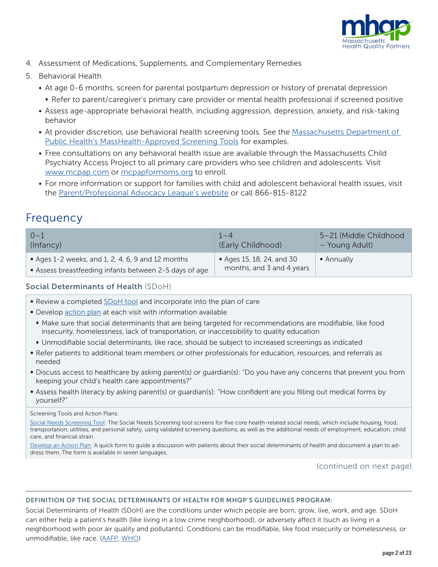

- 4. Assessment of Medications, Supplements, and Complementary Remedies
- 5. Behavioral Health
	- At age 0-6 months, screen for parental postpartum depression or history of prenatal depression
		- Refer to parent/caregiver's primary care provider or mental health professional if screened positive
	- Assess age-appropriate behavioral health, including aggression, depression, anxiety, and risk-taking behavior
	- At provider discretion, use behavioral health screening tools. See the [Massachusetts Department of](https://www.mass.gov/info-details/learn-about-the-approved-masshealth-screening-tools)  [Public Health's MassHealth-Approved Screening Tools](https://www.mass.gov/info-details/learn-about-the-approved-masshealth-screening-tools) for examples.
	- Free consultations on any behavioral health issue are available through the Massachusetts Child Psychiatry Access Project to all primary care providers who see children and adolescents. Visit [www.mcpap.com](https://www.mcpap.com/) or [mcpapformoms.org](https://www.mcpapformoms.org/) to enroll.
	- For more information or support for families with child and adolescent behavioral health issues, visit the [Parent/Professional Advocacy League's website](https://ppal.net/) or call 866-815-8122

# Frequency

| $0 - 1$                                                                                                     | $1 - 4$                                                | 5-21 (Middle Childhood |
|-------------------------------------------------------------------------------------------------------------|--------------------------------------------------------|------------------------|
| (Infancy)                                                                                                   | (Early Childhood)                                      | - Young Adult)         |
| • Ages 1-2 weeks, and 1, 2, 4, 6, 9 and 12 months<br>• Assess breastfeeding infants between 2-5 days of age | • Ages 15, 18, 24, and 30<br>months, and 3 and 4 years | • Annually             |

# Social Determinants of Health (SDoH)

- Review a completed [SDoH tool](https://www.aafp.org/family-physician/patient-care/the-everyone-project/toolkit/assessment.html) and incorporate into the plan of care
- Develop [action plan](https://www.aafp.org/dam/AAFP/documents/patient_care/everyone_project/action-plan.pdf) at each visit with information available
- Make sure that social determinants that are being targeted for recommendations are modifiable, like food insecurity, homelessness, lack of transportation, or inaccessibility to quality education
- $*$  Unmodifiable social determinants, like race, should be subject to increased screenings as indicated
- Refer patients to additional team members or other professionals for education, resources, and referrals as needed
- Discuss access to healthcare by asking parent(s) or guardian(s): "Do you have any concerns that prevent you from keeping your child's health care appointments?"
- Assess health literacy by asking parent(s) or guardian(s): "How confident are you filling out medical forms by yourself?"

#### Screening Tools and Action Plans:

[Social Needs Screening Tool](https://www.aafp.org/family-physician/patient-care/the-everyone-project/toolkit/assessment.html): The Social Needs Screening tool screens for five core health-related social needs, which include housing, food, transportation, utilities, and personal safety, using validated screening questions, as well as the additional needs of employment, education, child care, and financial strain.

[Develop an Action Plan](https://www.aafp.org/dam/AAFP/documents/patient_care/everyone_project/action-plan.pdf): A quick form to guide a discussion with patients about their social determinants of health and document a plan to address them. The form is available in seven languages.

(continued on next page)

#### DEFINITION OF THE SOCIAL DETERMINANTS OF HEALTH FOR MHQP'S GUIDELINES PROGRAM:

Social Determinants of Health (SDoH) are the conditions under which people are born, grow, live, work, and age. SDoH can either help a patient's health (like living in a low crime neighborhood), or adversely affect it (such as living in a neighborhood with poor air quality and pollutants). Conditions can be modifiable, like food insecurity or homelessness, or unmodifiable, like race. ([AAFP](https://www.aafp.org/home.html), WHO)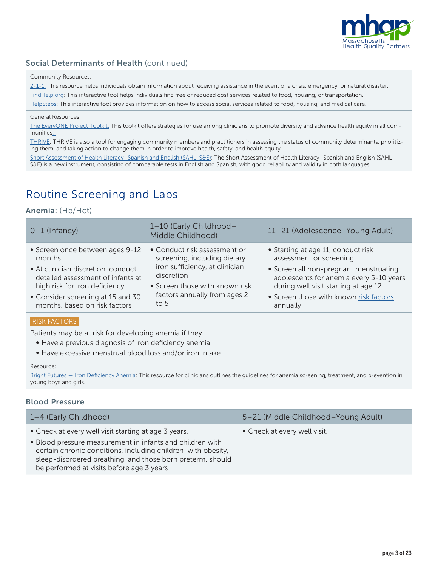

# Social Determinants of Health (continued)

#### Community Resources:

[2-1-1:](https://www.211.org/) This resource helps individuals obtain information about receiving assistance in the event of a crisis, emergency, or natural disaster. [FindHelp.org](https://www.findhelp.org/): This interactive tool helps individuals find free or reduced cost services related to food, housing, or transportation. [HelpSteps:](https://www.helpsteps.com/#/) This interactive tool provides information on how to access social services related to food, housing, and medical care.

#### General Resources:

[The EveryONE Project Toolkit](https://www.aafp.org/family-physician/patient-care/the-everyone-project/toolkit.html): This toolkit offers strategies for use among clinicians to promote diversity and advance health equity in all communities.

[THRIVE:](https://www.preventioninstitute.org/tools/thrive-tool-health-resilience-vulnerable-environments) THRIVE is also a tool for engaging community members and practitioners in assessing the status of community determinants, prioritizing them, and taking action to change them in order to improve health, safety, and health equity.

[Short Assessment of Health Literacy–Spanish and English \(SAHL-S&E\)](https://www.ahrq.gov/health-literacy/research/tools/index.html): The Short Assessment of Health Literacy–Spanish and English (SAHL– S&E) is a new instrument, consisting of comparable tests in English and Spanish, with good reliability and validity in both languages.

# Routine Screening and Labs

### Anemia: (Hb/Hct)

| $0-1$ (Infancy)                    | 1-10 (Early Childhood-<br>Middle Childhood) | 11-21 (Adolescence-Young Adult)         |
|------------------------------------|---------------------------------------------|-----------------------------------------|
| • Screen once between ages 9-12    | • Conduct risk assessment or                | • Starting at age 11, conduct risk      |
| months                             | screening, including dietary                | assessment or screening                 |
| • At clinician discretion, conduct | iron sufficiency, at clinician              | • Screen all non-pregnant menstruating  |
| detailed assessment of infants at  | discretion                                  | adolescents for anemia every 5-10 years |
| high risk for iron deficiency      | • Screen those with known risk              | during well visit starting at age 12    |
| • Consider screening at 15 and 30  | factors annually from ages 2                | • Screen those with known risk factors  |
| months, based on risk factors      | to $5$                                      | annually                                |

## RISK FACTORS

Patients may be at risk for developing anemia if they:

- Have a previous diagnosis of iron deficiency anemia
- Have excessive menstrual blood loss and/or iron intake

#### Resource:

Bright Futures - Iron Deficiency Anemia: This resource for clinicians outlines the quidelines for anemia screening, treatment, and prevention in young boys and girls.

## Blood Pressure

| 1–4 (Early Childhood)                                                                                                                                                                                                                                                                        | 5-21 (Middle Childhood-Young Adult) |
|----------------------------------------------------------------------------------------------------------------------------------------------------------------------------------------------------------------------------------------------------------------------------------------------|-------------------------------------|
| • Check at every well visit starting at age 3 years.<br>• Blood pressure measurement in infants and children with<br>certain chronic conditions, including children with obesity,<br>sleep-disordered breathing, and those born preterm, should<br>be performed at visits before age 3 years | • Check at every well visit.        |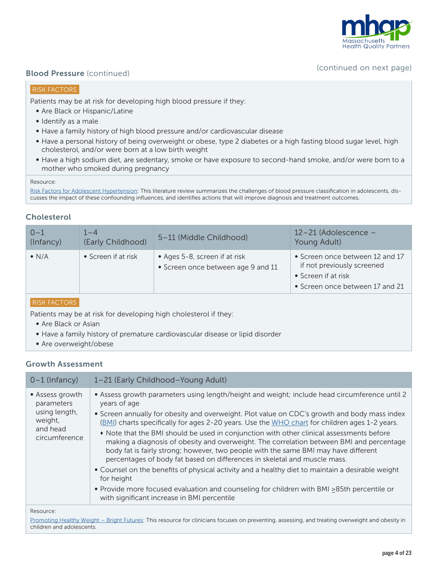

# **Blood Pressure** (continued) **Blood Pressure** (continued on next page)

### RISK FACTORS

Patients may be at risk for developing high blood pressure if they:

- Are Black or Hispanic/Latine
- Identify as a male
- Have a family history of high blood pressure and/or cardiovascular disease
- Have a personal history of being overweight or obese, type 2 diabetes or a high fasting blood sugar level, high cholesterol, and/or were born at a low birth weight
- Have a high sodium diet, are sedentary, smoke or have exposure to second-hand smoke, and/or were born to a mother who smoked during pregnancy

#### Resource:

[Risk Factors for Adolescent Hypertension](https://www.ncbi.nlm.nih.gov/pmc/articles/PMC4784559/): This literature review summarizes the challenges of blood pressure classification in adolescents, discusses the impact of these confounding influences, and identifies actions that will improve diagnosis and treatment outcomes.

# **Cholesterol**

| $0 - 1$       | $1 - 4$             | 5-11 (Middle Childhood)                                             | 12-21 (Adolescence -                                                                                                    |
|---------------|---------------------|---------------------------------------------------------------------|-------------------------------------------------------------------------------------------------------------------------|
| (Infancy)     | (Early Childhood)   |                                                                     | Young Adult)                                                                                                            |
| $\bullet$ N/A | • Screen if at risk | • Ages 5-8, screen if at risk<br>• Screen once between age 9 and 11 | • Screen once between 12 and 17<br>if not previously screened<br>• Screen if at risk<br>• Screen once between 17 and 21 |

#### RISK FACTORS

Patients may be at risk for developing high cholesterol if they:

- Are Black or Asian
- Have a family history of premature cardiovascular disease or lipid disorder
- Are overweight/obese

#### Growth Assessment

| $0-1$ (Infancy)                                                                        | 1-21 (Early Childhood-Young Adult)                                                                                                                                                                                                                                                                                                                                                                                                                                                                                                                                                                                                                                                                                                                                                                                                                                                                                                        |
|----------------------------------------------------------------------------------------|-------------------------------------------------------------------------------------------------------------------------------------------------------------------------------------------------------------------------------------------------------------------------------------------------------------------------------------------------------------------------------------------------------------------------------------------------------------------------------------------------------------------------------------------------------------------------------------------------------------------------------------------------------------------------------------------------------------------------------------------------------------------------------------------------------------------------------------------------------------------------------------------------------------------------------------------|
| • Assess growth<br>parameters<br>using length,<br>weight,<br>and head<br>circumference | • Assess growth parameters using length/height and weight; include head circumference until 2<br>years of age<br>• Screen annually for obesity and overweight. Plot value on CDC's growth and body mass index<br>(BMI) charts specifically for ages 2-20 years. Use the WHO chart for children ages 1-2 years.<br>• Note that the BMI should be used in conjunction with other clinical assessments before<br>making a diagnosis of obesity and overweight. The correlation between BMI and percentage<br>body fat is fairly strong; however, two people with the same BMI may have different<br>percentages of body fat based on differences in skeletal and muscle mass.<br>• Counsel on the benefits of physical activity and a healthy diet to maintain a desirable weight<br>for height<br>• Provide more focused evaluation and counseling for children with BMI >85th percentile or<br>with significant increase in BMI percentile |
| Resource:                                                                              |                                                                                                                                                                                                                                                                                                                                                                                                                                                                                                                                                                                                                                                                                                                                                                                                                                                                                                                                           |

Resource:

[Promoting Healthy Weight – Bright Futures:](https://brightfutures.aap.org/Bright%20Futures%20Documents/BF4_HealthyWeight.pdf) This resource for clinicians focuses on preventing, assessing, and treating overweight and obesity in children and adolescents.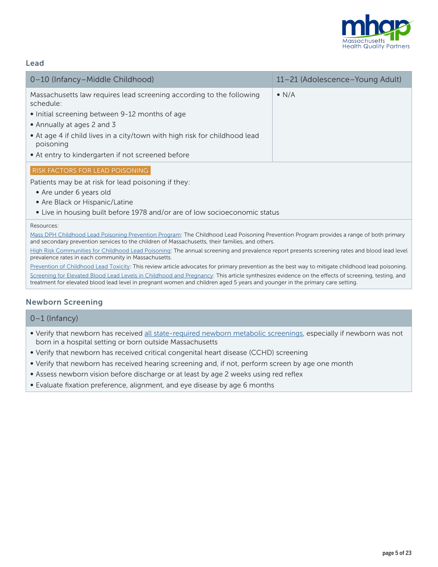

## Lead

| 0-10 (Infancy-Middle Childhood)                                                                                                                                                                                                                                                                                   | 11-21 (Adolescence-Young Adult) |
|-------------------------------------------------------------------------------------------------------------------------------------------------------------------------------------------------------------------------------------------------------------------------------------------------------------------|---------------------------------|
| Massachusetts law requires lead screening according to the following<br>schedule:<br>• Initial screening between 9-12 months of age<br>• Annually at ages 2 and 3<br>• At age 4 if child lives in a city/town with high risk for childhood lead<br>poisoning<br>• At entry to kindergarten if not screened before | $\bullet$ N/A                   |
| <b>RISK FACTORS FOR LEAD POISONING</b><br>Patients may be at risk for lead poisoning if they:<br>• Are under 6 years old<br>• Are Black or Hispanic/Latine<br>• Live in housing built before 1978 and/or are of low socioeconomic status                                                                          |                                 |

#### Resources:

[Mass DPH Childhood Lead Poisoning Prevention Program:](https://www.mass.gov/orgs/childhood-lead-poisoning-prevention-program) The Childhood Lead Poisoning Prevention Program provides a range of both primary and secondary prevention services to the children of Massachusetts, their families, and others.

[High Risk Communities for Childhood Lead Poisoning: The annual screening and prevalence report presents screening rates and blood lead level](https://www.mass.gov/lists/annual-screening-and-blood-lead-level-reports-and-high-risk-community-lists#calendar-year-2019-)  [prevalence rates in each community in Massachusetts.](https://www.mass.gov/lists/annual-screening-and-blood-lead-level-reports-and-high-risk-community-lists#calendar-year-2019-)

[Prevention of Childhood Lead Toxicity: This review article advocates for primary prevention as the best way to mitigate childhood lead poisoning.](https://publications.aap.org/pediatrics/article/138/1/e20161493/52600/Prevention-of-Childhood-Lead-Toxicity) [Screening for Elevated Blood Lead Levels in Childhood and Pregnancy](https://jamanetwork.com/journals/jama/fullarticle/2730620): This article synthesizes evidence on the effects of screening, testing, and treatment for elevated blood lead level in pregnant women and children aged 5 years and younger in the primary care setting.

#### Newborn Screening

#### 0–1 (Infancy)

- Verify that newborn has received [all state-required newborn metabolic screenings](https://nensp.umassmed.edu/node/6), especially if newborn was not born in a hospital setting or born outside Massachusetts
- Verify that newborn has received critical congenital heart disease (CCHD) screening
- Verify that newborn has received hearing screening and, if not, perform screen by age one month
- Assess newborn vision before discharge or at least by age 2 weeks using red reflex
- Evaluate fixation preference, alignment, and eye disease by age 6 months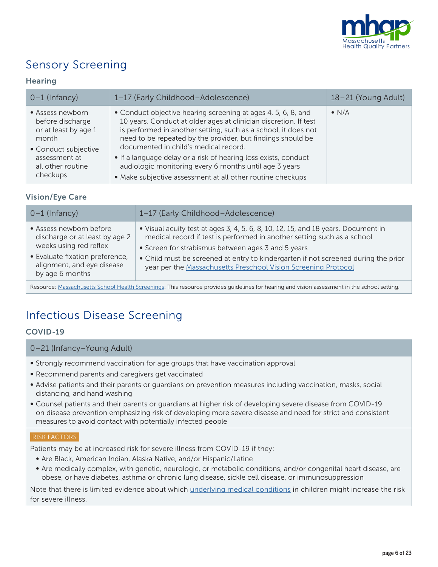

# Sensory Screening

# **Hearing**

| $0-1$ (Infancy)                                                                               | 1-17 (Early Childhood-Adolescence)                                                                                                                                                                                                                                                                          | 18-21 (Young Adult) |
|-----------------------------------------------------------------------------------------------|-------------------------------------------------------------------------------------------------------------------------------------------------------------------------------------------------------------------------------------------------------------------------------------------------------------|---------------------|
| • Assess newborn<br>before discharge<br>or at least by age 1<br>month<br>• Conduct subjective | • Conduct objective hearing screening at ages 4, 5, 6, 8, and<br>10 years. Conduct at older ages at clinician discretion. If test<br>is performed in another setting, such as a school, it does not<br>need to be repeated by the provider, but findings should be<br>documented in child's medical record. | $\bullet$ N/A       |
| assessment at<br>all other routine<br>checkups                                                | • If a language delay or a risk of hearing loss exists, conduct<br>audiologic monitoring every 6 months until age 3 years<br>• Make subjective assessment at all other routine checkups                                                                                                                     |                     |

# Vision/Eye Care

| $0-1$ (Infancy)                                                                                                                                                         | 1-17 (Early Childhood-Adolescence)                                                                                                                                                                                                                                                                                                                                         |
|-------------------------------------------------------------------------------------------------------------------------------------------------------------------------|----------------------------------------------------------------------------------------------------------------------------------------------------------------------------------------------------------------------------------------------------------------------------------------------------------------------------------------------------------------------------|
| • Assess newborn before<br>discharge or at least by age 2<br>weeks using red reflex<br>· Evaluate fixation preference,<br>alignment, and eye disease<br>by age 6 months | • Visual acuity test at ages 3, 4, 5, 6, 8, 10, 12, 15, and 18 years. Document in<br>medical record if test is performed in another setting such as a school<br>• Screen for strabismus between ages 3 and 5 years<br>• Child must be screened at entry to kindergarten if not screened during the prior<br>year per the Massachusetts Preschool Vision Screening Protocol |
|                                                                                                                                                                         |                                                                                                                                                                                                                                                                                                                                                                            |

Resource: [Massachusetts School Health Screenings:](https://www.mass.gov/lists/school-health-screening) This resource provides guidelines for hearing and vision assessment in the school setting.

# Infectious Disease Screening

# COVID-19

#### 0–21 (Infancy–Young Adult)

- Strongly recommend vaccination for age groups that have vaccination approval
- Recommend parents and caregivers get vaccinated
- Advise patients and their parents or guardians on prevention measures including vaccination, masks, social distancing, and hand washing
- Counsel patients and their parents or guardians at higher risk of developing severe disease from COVID-19 on disease prevention emphasizing risk of developing more severe disease and need for strict and consistent measures to avoid contact with potentially infected people

#### RISK FACTORS

Patients may be at increased risk for severe illness from COVID-19 if they:

- Are Black, American Indian, Alaska Native, and/or Hispanic/Latine
- Are medically complex, with genetic, neurologic, or metabolic conditions, and/or congenital heart disease, are obese, or have diabetes, asthma or chronic lung disease, sickle cell disease, or immunosuppression

Note that there is limited evidence about which [underlying medical conditions](https://www.cdc.gov/coronavirus/2019-ncov/need-extra-precautions/people-with-medical-conditions.html) in children might increase the risk for severe illness.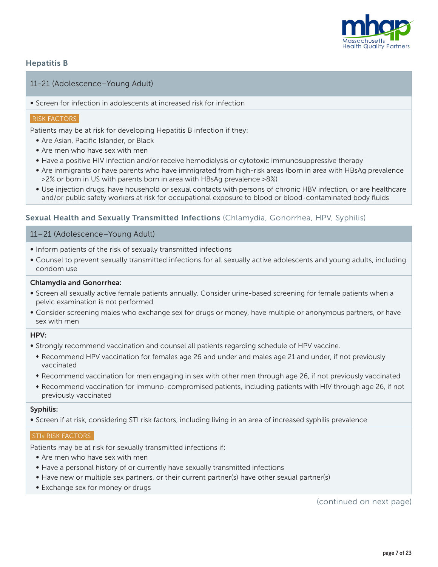

## Hepatitis B

#### 11-21 (Adolescence–Young Adult)

• Screen for infection in adolescents at increased risk for infection

#### RISK FACTORS

Patients may be at risk for developing Hepatitis B infection if they:

- Are Asian, Pacific Islander, or Black
- Are men who have sex with men
- Have a positive HIV infection and/or receive hemodialysis or cytotoxic immunosuppressive therapy
- Are immigrants or have parents who have immigrated from high-risk areas (born in area with HBsAg prevalence >2% or born in US with parents born in area with HBsAg prevalence >8%)
- Use injection drugs, have household or sexual contacts with persons of chronic HBV infection, or are healthcare and/or public safety workers at risk for occupational exposure to blood or blood-contaminated body fluids

#### Sexual Health and Sexually Transmitted Infections (Chlamydia, Gonorrhea, HPV, Syphilis)

#### 11–21 (Adolescence–Young Adult)

- Inform patients of the risk of sexually transmitted infections
- Counsel to prevent sexually transmitted infections for all sexually active adolescents and young adults, including condom use

#### Chlamydia and Gonorrhea:

- Screen all sexually active female patients annually. Consider urine-based screening for female patients when a pelvic examination is not performed
- Consider screening males who exchange sex for drugs or money, have multiple or anonymous partners, or have sex with men

#### HPV:

- Strongly recommend vaccination and counsel all patients regarding schedule of HPV vaccine.
	- Recommend HPV vaccination for females age 26 and under and males age 21 and under, if not previously vaccinated
	- Recommend vaccination for men engaging in sex with other men through age 26, if not previously vaccinated
	- <sup>t</sup> Recommend vaccination for immuno-compromised patients, including patients with HIV through age 26, if not previously vaccinated

#### Syphilis:

• Screen if at risk, considering STI risk factors, including living in an area of increased syphilis prevalence

#### **STIS RISK FACTORS**

Patients may be at risk for sexually transmitted infections if:

- Are men who have sex with men
- Have a personal history of or currently have sexually transmitted infections
- Have new or multiple sex partners, or their current partner(s) have other sexual partner(s)
- Exchange sex for money or drugs

(continued on next page)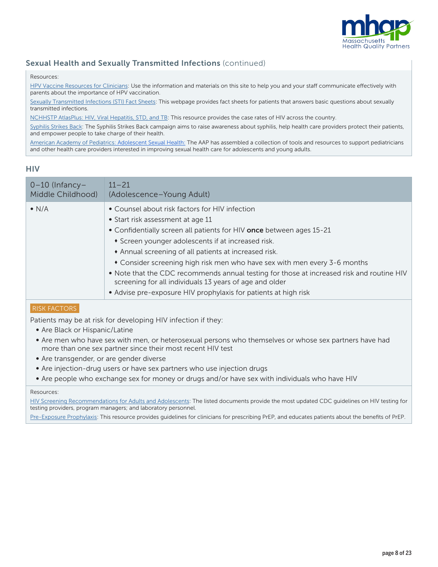

# Sexual Health and Sexually Transmitted Infections (continued)

#### Resources:

HPV Vaccine Resources for Clinicians: Use the information and materials on this site to help you and your staff communicate effectively with [parents about the importance of HPV vaccination.](https://www.cdc.gov/hpv/hcp/index.html)

Sexually Transmitted Infections (STI) Fact Sheets: This webpage provides fact sheets for patients that answers basic questions about sexually [transmitted infections.](https://www.cdc.gov/std/healthcomm/fact_sheets.htm)

[NCHHSTP AtlasPlus: HIV, Viral Hepatitis, STD, and TB: This resource provides the case rates of HIV across the country.](https://gis.cdc.gov/grasp/nchhstpatlas/maps.html)

[Syphilis Strikes Back:](https://www.cdc.gov/std/saw/syphilisstrikesback/default.htm) The Syphilis Strikes Back campaign aims to raise awareness about syphilis, help health care providers protect their patients, and empower people to take charge of their health.

[American Academy of Pediatrics: Adolescent Sexual Health:](https://www.aap.org/en-us/advocacy-and-policy/aap-health-initiatives/adolescent-sexual-health/Pages/default.aspx) The AAP has assembled a collection of tools and resources to support pediatricians and other health care providers interested in improving sexual health care for adolescents and young adults.

#### **HIV**

| $0-10$ (Infancy-  | $11 - 21$                                                                                                                                                                                                                                                                                                                                                                                                                                                                                                                                                                        |
|-------------------|----------------------------------------------------------------------------------------------------------------------------------------------------------------------------------------------------------------------------------------------------------------------------------------------------------------------------------------------------------------------------------------------------------------------------------------------------------------------------------------------------------------------------------------------------------------------------------|
| Middle Childhood) | (Adolescence-Young Adult)                                                                                                                                                                                                                                                                                                                                                                                                                                                                                                                                                        |
| $\bullet$ N/A     | • Counsel about risk factors for HIV infection<br>• Start risk assessment at age 11<br>• Confidentially screen all patients for HIV once between ages 15-21<br>• Screen younger adolescents if at increased risk.<br>Annual screening of all patients at increased risk.<br>• Consider screening high risk men who have sex with men every 3-6 months<br>. Note that the CDC recommends annual testing for those at increased risk and routine HIV<br>screening for all individuals 13 years of age and older<br>• Advise pre-exposure HIV prophylaxis for patients at high risk |

#### RISK FACTORS

Patients may be at risk for developing HIV infection if they:

- Are Black or Hispanic/Latine
- Are men who have sex with men, or heterosexual persons who themselves or whose sex partners have had more than one sex partner since their most recent HIV test
- Are transgender, or are gender diverse
- Are injection-drug users or have sex partners who use injection drugs
- Are people who exchange sex for money or drugs and/or have sex with individuals who have HIV

#### Resources:

[HIV Screening Recommendations for Adults and Adolescents:](https://www.cdc.gov/hiv/testing/) The listed documents provide the most updated CDC guidelines on HIV testing for testing providers, program managers; and laboratory personnel.

[Pre-Exposure Prophylaxis](https://www.cdc.gov/hiv/risk/prep/index.html): This resource provides guidelines for clinicians for prescribing PrEP, and educates patients about the benefits of PrEP.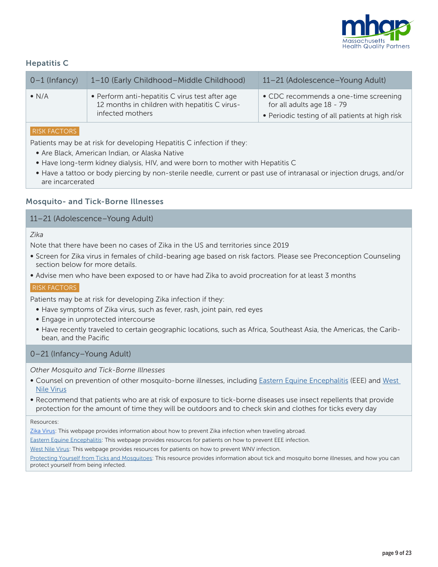

# Hepatitis C

| • Perform anti-hepatitis C virus test after age<br>$\bullet$ N/A<br>12 months in children with hepatitis C virus-<br>infected mothers | • CDC recommends a one-time screening<br>for all adults age 18 - 79<br>• Periodic testing of all patients at high risk |
|---------------------------------------------------------------------------------------------------------------------------------------|------------------------------------------------------------------------------------------------------------------------|

## RISK FACTORS

Patients may be at risk for developing Hepatitis C infection if they:

- Are Black, American Indian, or Alaska Native
- Have long-term kidney dialysis, HIV, and were born to mother with Hepatitis C
- Have a tattoo or body piercing by non-sterile needle, current or past use of intranasal or injection drugs, and/or are incarcerated

#### Mosquito- and Tick-Borne Illnesses

## 11–21 (Adolescence–Young Adult)

#### *Zika*

Note that there have been no cases of Zika in the US and territories since 2019

- Screen for Zika virus in females of child-bearing age based on risk factors. Please see Preconception Counseling section below for more details.
- Advise men who have been exposed to or have had Zika to avoid procreation for at least 3 months

#### RISK FACTORS

Patients may be at risk for developing Zika infection if they:

- Have symptoms of Zika virus, such as fever, rash, joint pain, red eyes
- Engage in unprotected intercourse
- Have recently traveled to certain geographic locations, such as Africa, Southeast Asia, the Americas, the Caribbean, and the Pacific

## 0–21 (Infancy–Young Adult)

*Other Mosquito and Tick-Borne Illnesses* 

- Counsel on prevention of other mosquito-borne illnesses, including **Eastern Equine Encephalitis (EEE)** and West [Nile Virus](https://www.cdc.gov/westnile/prevention/index.html)
- Recommend that patients who are at risk of exposure to tick-borne diseases use insect repellents that provide protection for the amount of time they will be outdoors and to check skin and clothes for ticks every day

#### Resources:

[Zika Virus:](https://www.cdc.gov/zika/) This webpage provides information about how to prevent Zika infection when traveling abroad.

[Eastern Equine Encephalitis](https://www.cdc.gov/easternequineencephalitis/prevention/index.html?CDC_AA_refVal=https%3A%2F%2Fwww.cdc.gov%2Feasternequineencephalitis%2Fgen%2Fpre.html): This webpage provides resources for patients on how to prevent EEE infection.

[West Nile Virus:](https://www.cdc.gov/westnile/prevention/index.html) This webpage provides resources for patients on how to prevent WNV infection.

[Protecting Yourself from Ticks and Mosquitoes:](https://www.cdc.gov/niosh/docs/2010-119/pdfs/2010-119.pdf) This resource provides information about tick and mosquito borne illnesses, and how you can protect yourself from being infected.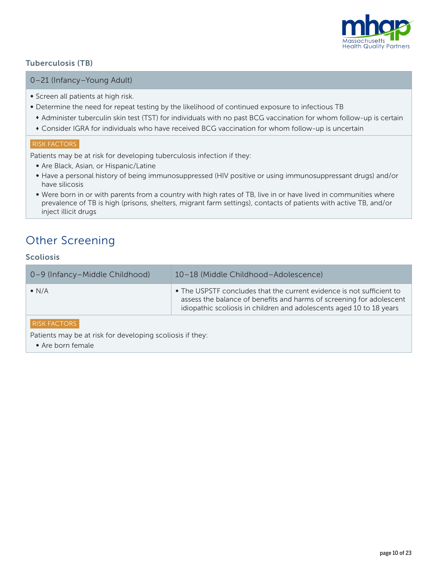

# Tuberculosis (TB)

#### 0–21 (Infancy–Young Adult)

- Screen all patients at high risk.
- Determine the need for repeat testing by the likelihood of continued exposure to infectious TB
	- \* Administer tuberculin skin test (TST) for individuals with no past BCG vaccination for whom follow-up is certain
	- Consider IGRA for individuals who have received BCG vaccination for whom follow-up is uncertain

# RISK FACTORS

Patients may be at risk for developing tuberculosis infection if they:

- Are Black, Asian, or Hispanic/Latine
- Have a personal history of being immunosuppressed (HIV positive or using immunosuppressant drugs) and/or have silicosis
- Were born in or with parents from a country with high rates of TB, live in or have lived in communities where prevalence of TB is high (prisons, shelters, migrant farm settings), contacts of patients with active TB, and/or inject illicit drugs

# Other Screening

# Scoliosis

| 0-9 (Infancy-Middle Childhood) | 10-18 (Middle Childhood-Adolescence)                                                                                                                                                                                  |
|--------------------------------|-----------------------------------------------------------------------------------------------------------------------------------------------------------------------------------------------------------------------|
| $\bullet$ N/A                  | • The USPSTF concludes that the current evidence is not sufficient to<br>assess the balance of benefits and harms of screening for adolescent<br>idiopathic scoliosis in children and adolescents aged 10 to 18 years |
|                                |                                                                                                                                                                                                                       |

#### RISK FACTORS

Patients may be at risk for developing scoliosis if they:

• Are born female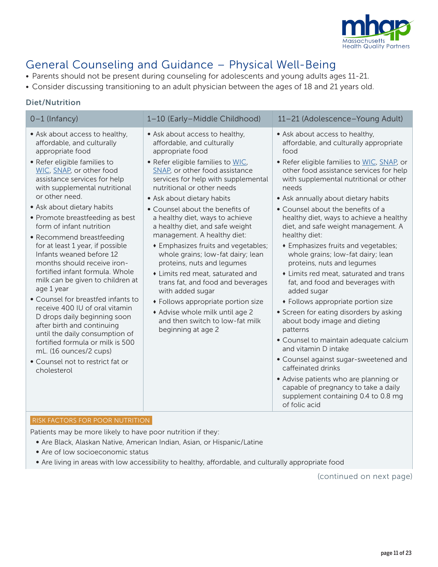

# General Counseling and Guidance – Physical Well-Being

- Parents should not be present during counseling for adolescents and young adults ages 11-21.
- Consider discussing transitioning to an adult physician between the ages of 18 and 21 years old.

# Diet/Nutrition

| $0-1$ (Infancy)                                                                                                                                                                                                                                                                                                                                                                                                                                                                                                                                                                                                                                                                                                                                                                                                                        | 1-10 (Early-Middle Childhood)                                                                                                                                                                                                                                                                                                                                                                                                                                                                                                                                                                                                                                                                                                                      | 11-21 (Adolescence-Young Adult)                                                                                                                                                                                                                                                                                                                                                                                                                                                                                                                                                                                                                                                                                                                                                                                                                                                                                                                                                                                           |
|----------------------------------------------------------------------------------------------------------------------------------------------------------------------------------------------------------------------------------------------------------------------------------------------------------------------------------------------------------------------------------------------------------------------------------------------------------------------------------------------------------------------------------------------------------------------------------------------------------------------------------------------------------------------------------------------------------------------------------------------------------------------------------------------------------------------------------------|----------------------------------------------------------------------------------------------------------------------------------------------------------------------------------------------------------------------------------------------------------------------------------------------------------------------------------------------------------------------------------------------------------------------------------------------------------------------------------------------------------------------------------------------------------------------------------------------------------------------------------------------------------------------------------------------------------------------------------------------------|---------------------------------------------------------------------------------------------------------------------------------------------------------------------------------------------------------------------------------------------------------------------------------------------------------------------------------------------------------------------------------------------------------------------------------------------------------------------------------------------------------------------------------------------------------------------------------------------------------------------------------------------------------------------------------------------------------------------------------------------------------------------------------------------------------------------------------------------------------------------------------------------------------------------------------------------------------------------------------------------------------------------------|
| • Ask about access to healthy,<br>affordable, and culturally<br>appropriate food<br>• Refer eligible families to<br>WIC, SNAP, or other food<br>assistance services for help<br>with supplemental nutritional<br>or other need.<br>• Ask about dietary habits<br>• Promote breastfeeding as best<br>form of infant nutrition<br>• Recommend breastfeeding<br>for at least 1 year, if possible<br>Infants weaned before 12<br>months should receive iron-<br>fortified infant formula. Whole<br>milk can be given to children at<br>age 1 year<br>• Counsel for breastfed infants to<br>receive 400 IU of oral vitamin<br>D drops daily beginning soon<br>after birth and continuing<br>until the daily consumption of<br>fortified formula or milk is 500<br>mL. (16 ounces/2 cups)<br>• Counsel not to restrict fat or<br>cholesterol | • Ask about access to healthy,<br>affordable, and culturally<br>appropriate food<br>. Refer eligible families to WIC,<br>SNAP, or other food assistance<br>services for help with supplemental<br>nutritional or other needs<br>• Ask about dietary habits<br>• Counsel about the benefits of<br>a healthy diet, ways to achieve<br>a healthy diet, and safe weight<br>management. A healthy diet:<br><b>*</b> Emphasizes fruits and vegetables;<br>whole grains; low-fat dairy; lean<br>proteins, nuts and legumes<br>• Limits red meat, saturated and<br>trans fat, and food and beverages<br>with added sugar<br>• Follows appropriate portion size<br>* Advise whole milk until age 2<br>and then switch to low-fat milk<br>beginning at age 2 | • Ask about access to healthy,<br>affordable, and culturally appropriate<br>food<br>. Refer eligible families to WIC, SNAP, or<br>other food assistance services for help<br>with supplemental nutritional or other<br>needs<br>• Ask annually about dietary habits<br>• Counsel about the benefits of a<br>healthy diet, ways to achieve a healthy<br>diet, and safe weight management. A<br>healthy diet:<br>• Emphasizes fruits and vegetables;<br>whole grains; low-fat dairy; lean<br>proteins, nuts and legumes<br>• Limits red meat, saturated and trans<br>fat, and food and beverages with<br>added sugar<br>• Follows appropriate portion size<br>• Screen for eating disorders by asking<br>about body image and dieting<br>patterns<br>• Counsel to maintain adequate calcium<br>and vitamin D intake<br>• Counsel against sugar-sweetened and<br>caffeinated drinks<br>• Advise patients who are planning or<br>capable of pregnancy to take a daily<br>supplement containing 0.4 to 0.8 mg<br>of folic acid |

#### RISK FACTORS FOR POOR NUTRITION

Patients may be more likely to have poor nutrition if they:

- Are Black, Alaskan Native, American Indian, Asian, or Hispanic/Latine
- Are of low socioeconomic status
- Are living in areas with low accessibility to healthy, affordable, and culturally appropriate food

(continued on next page)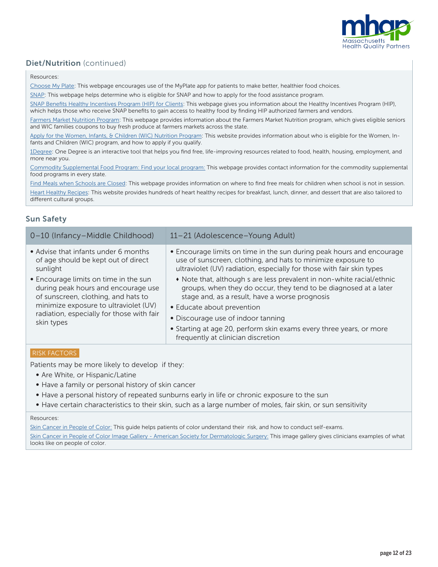

# Diet/Nutrition (continued)

Resources:

[Choose My Plate: This webpage encourages use of the MyPlate app for patients to make better, healthier food choices.](https://www.choosemyplate.gov/start-simple-myplate)

[SNAP:](https://www.mass.gov/snap-benefits-formerly-food-stamps) This webpage helps determine who is eligible for SNAP and how to apply for the food assistance program.

[SNAP Benefits Healthy Incentives Program \(HIP\) for Clients:](https://www.mass.gov/service-details/massachusetts-healthy-incentives-program-hip) This webpage gives you information about the Healthy Incentives Program (HIP), which helps those who receive SNAP benefits to gain access to healthy food by finding HIP authorized farmers and vendors.

[Farmers Market Nutrition Program:](https://www.mass.gov/farmers-market-nutrition-program) This webpage provides information about the Farmers Market Nutrition program, which gives eligible seniors and WIC families coupons to buy fresh produce at farmers markets across the state.

[Apply for the Women, Infants, & Children \(WIC\) Nutrition Program:](https://www.mass.gov/how-to/apply-for-the-women-infants-children-wic-nutrition-program) This website provides information about who is eligible for the Women, Infants and Children (WIC) program, and how to apply if you qualify.

[1Degree:](https://www.1degree.org/) One Degree is an interactive tool that helps you find free, life-improving resources related to food, health, housing, employment, and more near you.

[Commodity Supplemental Food Program: Find your local program:](https://www.fns.usda.gov/csfp/applicant-recipient) This webpage provides contact information for the commodity supplemental food programs in every state.

[Find Meals when Schools are Closed: This webpage provides information on where to find free meals for children when school is not in session.](https://www.fns.usda.gov/meals4kids)

[Heart Healthy Recipes:](https://healthyeating.nhlbi.nih.gov/default.aspx?) This website provides hundreds of heart healthy recipes for breakfast, lunch, dinner, and dessert that are also tailored to different cultural groups.

# Sun Safety

| 0-10 (Infancy-Middle Childhood)                                                                                                                                                                                         | 11-21 (Adolescence-Young Adult)                                                                                                                                                                                |
|-------------------------------------------------------------------------------------------------------------------------------------------------------------------------------------------------------------------------|----------------------------------------------------------------------------------------------------------------------------------------------------------------------------------------------------------------|
| • Advise that infants under 6 months<br>of age should be kept out of direct<br>sunlight                                                                                                                                 | • Encourage limits on time in the sun during peak hours and encourage<br>use of sunscreen, clothing, and hats to minimize exposure to<br>ultraviolet (UV) radiation, especially for those with fair skin types |
| • Encourage limits on time in the sun<br>during peak hours and encourage use<br>of sunscreen, clothing, and hats to<br>minimize exposure to ultraviolet (UV)<br>radiation, especially for those with fair<br>skin types | • Note that, although s are less prevalent in non-white racial/ethnic<br>groups, when they do occur, they tend to be diagnosed at a later<br>stage and, as a result, have a worse prognosis                    |
|                                                                                                                                                                                                                         | • Educate about prevention                                                                                                                                                                                     |
|                                                                                                                                                                                                                         | • Discourage use of indoor tanning                                                                                                                                                                             |
|                                                                                                                                                                                                                         | • Starting at age 20, perform skin exams every three years, or more<br>frequently at clinician discretion                                                                                                      |

#### RISK FACTORS

Patients may be more likely to develop if they:

- Are White, or Hispanic/Latine
- Have a family or personal history of skin cancer
- Have a personal history of repeated sunburns early in life or chronic exposure to the sun
- Have certain characteristics to their skin, such as a large number of moles, fair skin, or sun sensitivity

#### Resources:

[Skin Cancer in People of Color](https://www.aad.org/public/diseases/skin-cancer/types/common/melanoma/skin-color): This guide helps patients of color understand their risk, and how to conduct self-exams. [Skin Cancer in People of Color Image Gallery - American Society for Dermatologic Surgery](https://www.asds.net/skin-experts/skin-cancer/skin-cancer-in-people-of-color/skin-cancer-photo-gallery): This image gallery gives clinicians examples of what looks like on people of color.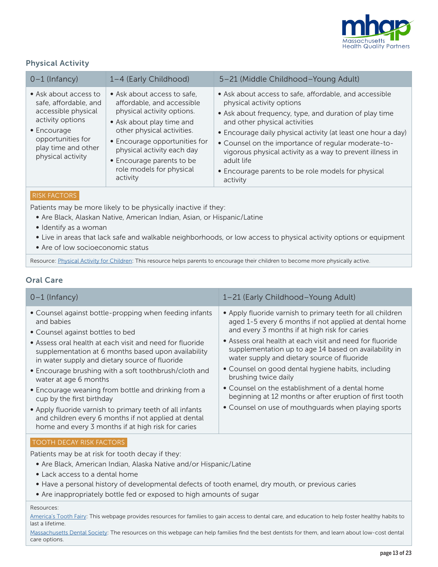

# Physical Activity

| $0-1$ (Infancy)                                                                                                                                                                   | 1-4 (Early Childhood)                                                                                                                                                                                                                                                                  | 5-21 (Middle Childhood-Young Adult)                                                                                                                                                                                                                                                                                                                                                                                                                 |
|-----------------------------------------------------------------------------------------------------------------------------------------------------------------------------------|----------------------------------------------------------------------------------------------------------------------------------------------------------------------------------------------------------------------------------------------------------------------------------------|-----------------------------------------------------------------------------------------------------------------------------------------------------------------------------------------------------------------------------------------------------------------------------------------------------------------------------------------------------------------------------------------------------------------------------------------------------|
| • Ask about access to<br>safe, affordable, and<br>accessible physical<br>activity options<br>$\bullet$ Encourage<br>opportunities for<br>play time and other<br>physical activity | • Ask about access to safe,<br>affordable, and accessible<br>physical activity options.<br>• Ask about play time and<br>other physical activities.<br>• Encourage opportunities for<br>physical activity each day<br>• Encourage parents to be<br>role models for physical<br>activity | • Ask about access to safe, affordable, and accessible<br>physical activity options<br>• Ask about frequency, type, and duration of play time<br>and other physical activities<br>• Encourage daily physical activity (at least one hour a day)<br>• Counsel on the importance of regular moderate-to-<br>vigorous physical activity as a way to prevent illness in<br>adult life<br>• Encourage parents to be role models for physical<br>activity |

#### RISK FACTORS

Patients may be more likely to be physically inactive if they:

- Are Black, Alaskan Native, American Indian, Asian, or Hispanic/Latine
- Identify as a woman
- Live in areas that lack safe and walkable neighborhoods, or low access to physical activity options or equipment
- Are of low socioeconomic status

Resource: [Physical Activity for Children:](https://www.cdc.gov/physicalactivity/basics/children/index.htm) This resource helps parents to encourage their children to become more physically active.

# Oral Care

| $0-1$ (Infancy)                                                                                                                                                                                                                                                                                                                                                                                                                                                                                                                                                                                                               | 1-21 (Early Childhood-Young Adult)                                                                                                                                                                                                                                                                                                                                                                                                                                                                                                                                                          |
|-------------------------------------------------------------------------------------------------------------------------------------------------------------------------------------------------------------------------------------------------------------------------------------------------------------------------------------------------------------------------------------------------------------------------------------------------------------------------------------------------------------------------------------------------------------------------------------------------------------------------------|---------------------------------------------------------------------------------------------------------------------------------------------------------------------------------------------------------------------------------------------------------------------------------------------------------------------------------------------------------------------------------------------------------------------------------------------------------------------------------------------------------------------------------------------------------------------------------------------|
| • Counsel against bottle-propping when feeding infants<br>and babies<br>• Counsel against bottles to bed<br>• Assess oral health at each visit and need for fluoride<br>supplementation at 6 months based upon availability<br>in water supply and dietary source of fluoride<br>• Encourage brushing with a soft toothbrush/cloth and<br>water at age 6 months<br>• Encourage weaning from bottle and drinking from a<br>cup by the first birthday<br>• Apply fluoride varnish to primary teeth of all infants<br>and children every 6 months if not applied at dental<br>home and every 3 months if at high risk for caries | • Apply fluoride varnish to primary teeth for all children<br>aged 1-5 every 6 months if not applied at dental home<br>and every 3 months if at high risk for caries<br>• Assess oral health at each visit and need for fluoride<br>supplementation up to age 14 based on availability in<br>water supply and dietary source of fluoride<br>• Counsel on good dental hygiene habits, including<br>brushing twice daily<br>• Counsel on the establishment of a dental home<br>beginning at 12 months or after eruption of first tooth<br>• Counsel on use of mouthquards when playing sports |
| <b>TOOTH DECAY RISK FACTORS</b>                                                                                                                                                                                                                                                                                                                                                                                                                                                                                                                                                                                               |                                                                                                                                                                                                                                                                                                                                                                                                                                                                                                                                                                                             |

Patients may be at risk for tooth decay if they:

- Are Black, American Indian, Alaska Native and/or Hispanic/Latine
- Lack access to a dental home
- Have a personal history of developmental defects of tooth enamel, dry mouth, or previous caries
- Are inappropriately bottle fed or exposed to high amounts of sugar

#### Resources:

America's Tooth Fairy: This webpage provides resources for families to gain access to dental care, and education to help foster healthy habits to [last a lifetime.](https://www.americastoothfairy.org/programs)

[Massachusetts Dental Society:](https://www.massdental.org/Public/Access-to-Care) The resources on this webpage can help families find the best dentists for them, and learn about low-cost dental care options.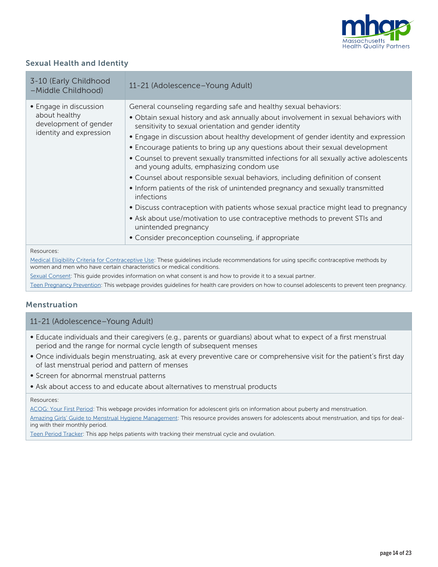

# Sexual Health and Identity

| 3-10 (Early Childhood<br>-Middle Childhood)                                                 | 11-21 (Adolescence-Young Adult)                                                                                                                                                                                                                                                                                                                                                                                                                                                                                                                                                                                                                                                                                                                                                                                                                                                                                                                                      |
|---------------------------------------------------------------------------------------------|----------------------------------------------------------------------------------------------------------------------------------------------------------------------------------------------------------------------------------------------------------------------------------------------------------------------------------------------------------------------------------------------------------------------------------------------------------------------------------------------------------------------------------------------------------------------------------------------------------------------------------------------------------------------------------------------------------------------------------------------------------------------------------------------------------------------------------------------------------------------------------------------------------------------------------------------------------------------|
| • Engage in discussion<br>about healthy<br>development of gender<br>identity and expression | General counseling regarding safe and healthy sexual behaviors:<br>. Obtain sexual history and ask annually about involvement in sexual behaviors with<br>sensitivity to sexual orientation and gender identity<br>• Engage in discussion about healthy development of gender identity and expression<br>• Encourage patients to bring up any questions about their sexual development<br>• Counsel to prevent sexually transmitted infections for all sexually active adolescents<br>and young adults, emphasizing condom use<br>• Counsel about responsible sexual behaviors, including definition of consent<br>. Inform patients of the risk of unintended pregnancy and sexually transmitted<br>infections<br>• Discuss contraception with patients whose sexual practice might lead to pregnancy<br>• Ask about use/motivation to use contraceptive methods to prevent STIs and<br>unintended pregnancy<br>• Consider preconception counseling, if appropriate |
| Resources:                                                                                  | Medical Eligibility Criteria for Contraceptive Use: These quidelines include recommendations for using specific contraceptive methods by                                                                                                                                                                                                                                                                                                                                                                                                                                                                                                                                                                                                                                                                                                                                                                                                                             |

Medical Eligibility Criteria for Contraceptive Use: These guidelines include recommendations for using specific contraceptive methods by [women and men who have certain characteristics or medical conditions.](https://www.cdc.gov/reproductivehealth/contraception/mmwr/mec/summary.html)

[Sexual Consent: This guide provides information on what consent is and how to provide it to a sexual partner.](https://www.plannedparenthood.org/learn/relationships/sexual-consent)

[Teen Pregnancy Prevention](https://www.cdc.gov/teenpregnancy/health-care-providers/index.htm): This webpage provides guidelines for health care providers on how to counsel adolescents to prevent teen pregnancy.

#### Menstruation

#### 11-21 (Adolescence–Young Adult)

- Educate individuals and their caregivers (e.g., parents or guardians) about what to expect of a first menstrual period and the range for normal cycle length of subsequent menses
- Once individuals begin menstruating, ask at every preventive care or comprehensive visit for the patient's first day of last menstrual period and pattern of menses
- Screen for abnormal menstrual patterns
- Ask about access to and educate about alternatives to menstrual products

#### Resources:

[ACOG: Your First Period](https://www.acog.org/womens-health/faqs/your-first-period): This webpage provides information for adolescent girls on information about puberty and menstruation.

[Amazing Girls' Guide to Menstrual Hygiene Management](http://www.wins4girls.org/resources/2017%20Ghana%20MHM%20education%20booklet.pdf): This resource provides answers for adolescents about menstruation, and tips for dealing with their monthly period.

[Teen Period Tracker:](https://apps.apple.com/us/app/teen-period-tracker/id1249743061) This app helps patients with tracking their menstrual cycle and ovulation.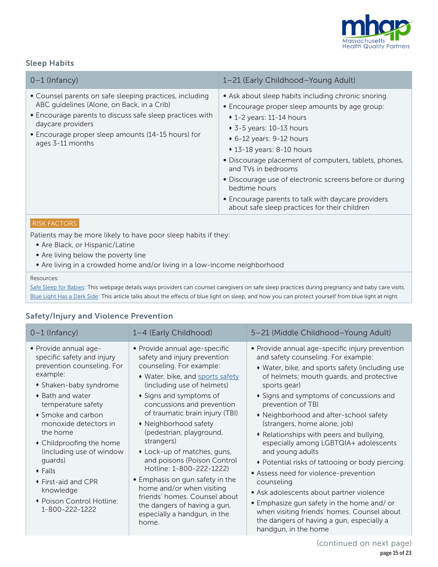

# Sleep Habits

| $0-1$ (Infancy)                                                                                                                                                                                                                                                  | 1-21 (Early Childhood-Young Adult)                                                                                                                                                                                                                                                                                                                                                                                                                                                                                    |
|------------------------------------------------------------------------------------------------------------------------------------------------------------------------------------------------------------------------------------------------------------------|-----------------------------------------------------------------------------------------------------------------------------------------------------------------------------------------------------------------------------------------------------------------------------------------------------------------------------------------------------------------------------------------------------------------------------------------------------------------------------------------------------------------------|
| • Counsel parents on safe sleeping practices, including<br>ABC quidelines (Alone, on Back, in a Crib)<br>• Encourage parents to discuss safe sleep practices with<br>daycare providers<br>• Encourage proper sleep amounts (14-15 hours) for<br>ages 3-11 months | • Ask about sleep habits including chronic snoring.<br>• Encourage proper sleep amounts by age group:<br>$\cdot$ 1-2 years: 11-14 hours<br>$\bullet$ 3-5 years: 10-13 hours<br>$\bullet$ 6-12 years: 9-12 hours<br>$\cdot$ 13-18 years: 8-10 hours<br>• Discourage placement of computers, tablets, phones,<br>and TVs in bedrooms<br>• Discourage use of electronic screens before or during<br>bedtime hours<br>• Encourage parents to talk with daycare providers<br>about safe sleep practices for their children |

#### RISK FACTORS

Patients may be more likely to have poor sleep habits if they:

- Are Black, or Hispanic/Latine
- Are living below the poverty line
- Are living in a crowded home and/or living in a low-income neighborhood

#### Resources:

[Safe Sleep for Babies:](https://www.cdc.gov/vitalsigns/safesleep/index.html) This webpage details ways providers can counsel caregivers on safe sleep practices during pregnancy and baby care visits. [Blue Light Has a Dark Side](https://www.health.harvard.edu/staying-healthy/blue-light-has-a-dark-side): This article talks about the effects of blue light on sleep, and how you can protect yourself from blue light at night.

# Safety/Injury and Violence Prevention

| $0-1$ (Infancy)                                                                                                                                                                                                                                                                                                                                                                                       | 1-4 (Early Childhood)                                                                                                                                                                                                                                                                                                                                                                                                                                                                                                                                                                          | 5-21 (Middle Childhood-Young Adult)                                                                                                                                                                                                                                                                                                                                                                                                                                                                                                                                                                                                                                                                                                                                               |  |
|-------------------------------------------------------------------------------------------------------------------------------------------------------------------------------------------------------------------------------------------------------------------------------------------------------------------------------------------------------------------------------------------------------|------------------------------------------------------------------------------------------------------------------------------------------------------------------------------------------------------------------------------------------------------------------------------------------------------------------------------------------------------------------------------------------------------------------------------------------------------------------------------------------------------------------------------------------------------------------------------------------------|-----------------------------------------------------------------------------------------------------------------------------------------------------------------------------------------------------------------------------------------------------------------------------------------------------------------------------------------------------------------------------------------------------------------------------------------------------------------------------------------------------------------------------------------------------------------------------------------------------------------------------------------------------------------------------------------------------------------------------------------------------------------------------------|--|
| · Provide annual age-<br>specific safety and injury<br>prevention counseling. For<br>example:<br>• Shaken-baby syndrome<br>◆ Bath and water<br>temperature safety<br>• Smoke and carbon<br>monoxide detectors in<br>the home<br>• Childproofing the home<br>(including use of window<br>quards)<br>$\bullet$ Falls<br>◆ First-aid and CPR<br>knowledge<br>• Poison Control Hotline:<br>1-800-222-1222 | • Provide annual age-specific<br>safety and injury prevention<br>counseling. For example:<br>• Water, bike, and sports safety<br>(including use of helmets)<br>• Signs and symptoms of<br>concussions and prevention<br>of traumatic brain injury (TBI)<br>• Neighborhood safety<br>(pedestrian, playground,<br>strangers)<br>• Lock-up of matches, guns,<br>and poisons (Poison Control<br>Hotline: 1-800-222-1222)<br>• Emphasis on gun safety in the<br>home and/or when visiting<br>friends' homes. Counsel about<br>the dangers of having a gun,<br>especially a handgun, in the<br>home. | • Provide annual age-specific injury prevention<br>and safety counseling. For example:<br>• Water, bike, and sports safety (including use<br>of helmets; mouth quards, and protective<br>sports gear)<br>• Signs and symptoms of concussions and<br>prevention of TBI<br>• Neighborhood and after-school safety<br>(strangers, home alone, job)<br>• Relationships with peers and bullying,<br>especially among LGBTQIA+ adolescents<br>and young adults<br>• Potential risks of tattooing or body piercing.<br>• Assess need for violence-prevention<br>counseling<br>• Ask adolescents about partner violence<br>• Emphasize gun safety in the home and/ or<br>when visiting friends' homes. Counsel about<br>the dangers of having a gun, especially a<br>handgun, in the home |  |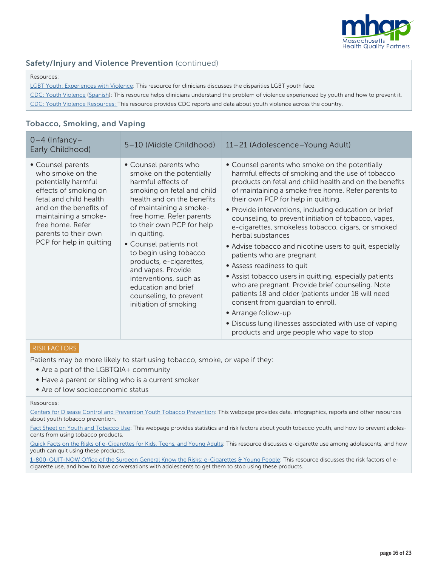

# Safety/Injury and Violence Prevention (continued)

#### Resources:

[LGBT Youth: Experiences with Violence:](https://www.cdc.gov/lgbthealth/youth.htm) This resource for clinicians discusses the disparities LGBT youth face.

[CDC: Youth Violence](https://www.cdc.gov/violenceprevention/youthviolence/index.html) [\(Spanish](https://www.cdc.gov/violenceprevention/youthviolence/spanish/index.html)): This resource helps clinicians understand the problem of violence experienced by youth and how to prevent it. [CDC: Youth Violence Resources:](https://www.cdc.gov/violenceprevention/youthviolence/resources.html) This resource provides CDC reports and data about youth violence across the country.

# Tobacco, Smoking, and Vaping

| $0-4$ (Infancy-<br>Early Childhood)                                                                                                                                                                                                       | 5-10 (Middle Childhood)                                                                                                                                                                                                                                                                                                                                                                                                                          | 11-21 (Adolescence-Young Adult)                                                                                                                                                                                                                                                                                                                                                                                                                                                                                                                                                                                                                                                                                                                                                                                                                                                                                     |  |
|-------------------------------------------------------------------------------------------------------------------------------------------------------------------------------------------------------------------------------------------|--------------------------------------------------------------------------------------------------------------------------------------------------------------------------------------------------------------------------------------------------------------------------------------------------------------------------------------------------------------------------------------------------------------------------------------------------|---------------------------------------------------------------------------------------------------------------------------------------------------------------------------------------------------------------------------------------------------------------------------------------------------------------------------------------------------------------------------------------------------------------------------------------------------------------------------------------------------------------------------------------------------------------------------------------------------------------------------------------------------------------------------------------------------------------------------------------------------------------------------------------------------------------------------------------------------------------------------------------------------------------------|--|
| • Counsel parents<br>who smoke on the<br>potentially harmful<br>effects of smoking on<br>fetal and child health<br>and on the benefits of<br>maintaining a smoke-<br>free home. Refer<br>parents to their own<br>PCP for help in quitting | • Counsel parents who<br>smoke on the potentially<br>harmful effects of<br>smoking on fetal and child<br>health and on the benefits<br>of maintaining a smoke-<br>free home. Refer parents<br>to their own PCP for help<br>in quitting.<br>• Counsel patients not<br>to begin using tobacco<br>products, e-cigarettes,<br>and vapes. Provide<br>interventions, such as<br>education and brief<br>counseling, to prevent<br>initiation of smoking | • Counsel parents who smoke on the potentially<br>harmful effects of smoking and the use of tobacco<br>products on fetal and child health and on the benefits<br>of maintaining a smoke free home. Refer parents to<br>their own PCP for help in quitting.<br>• Provide interventions, including education or brief<br>counseling, to prevent initiation of tobacco, vapes,<br>e-cigarettes, smokeless tobacco, cigars, or smoked<br>herbal substances<br>• Advise tobacco and nicotine users to quit, especially<br>patients who are pregnant<br>• Assess readiness to quit<br>• Assist tobacco users in quitting, especially patients<br>who are pregnant. Provide brief counseling. Note<br>patients 18 and older (patients under 18 will need<br>consent from quardian to enroll.<br>• Arrange follow-up<br>• Discuss lung illnesses associated with use of vaping<br>products and urge people who vape to stop |  |

#### RISK FACTORS

Patients may be more likely to start using tobacco, smoke, or vape if they:

- Are a part of the LGBTQIA+ community
- Have a parent or sibling who is a current smoker
- Are of low socioeconomic status

#### Resources:

[Centers for Disease Control and Prevention Youth Tobacco Prevention: This webpage provides data, infographics, reports and other resources](https://www.cdc.gov/tobacco/basic_information/youth/index.htm)  [about youth tobacco prevention.](https://www.cdc.gov/tobacco/basic_information/youth/index.htm)

[Fact Sheet on Youth and Tobacco Use: This webpage provides statistics and risk factors about youth tobacco youth, and how to prevent adoles](https://www.cdc.gov/tobacco/data_statistics/fact_sheets/youth_data/tobacco_use/index.htm)[cents from using tobacco products.](https://www.cdc.gov/tobacco/data_statistics/fact_sheets/youth_data/tobacco_use/index.htm)

[Quick Facts on the Risks of e-Cigarettes for Kids, Teens, and Young Adults: This resource discusses e-cigarette use among adolescents, and how](https://www.cdc.gov/tobacco/basic_information/e-cigarettes/Quick-Facts-on-the-Risks-of-E-cigarettes-for-Kids-Teens-and-Young-Adults.html)  [youth can quit using these products.](https://www.cdc.gov/tobacco/basic_information/e-cigarettes/Quick-Facts-on-the-Risks-of-E-cigarettes-for-Kids-Teens-and-Young-Adults.html)

[1-800-QUIT-NOW Office of the Surgeon General Know the Risks: e-Cigarettes & Young People:](https://e-cigarettes.surgeongeneral.gov/knowtherisks.html) This resource discusses the risk factors of ecigarette use, and how to have conversations with adolescents to get them to stop using these products.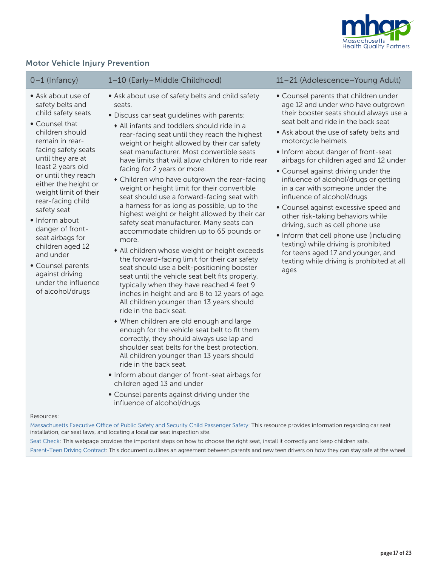

# Motor Vehicle Injury Prevention

| $0-1$ (Infancy)                                                                                                                                                                                                                                                                                                                                                                                                                                                                 | 1-10 (Early-Middle Childhood)                                                                                                                                                                                                                                                                                                                                                                                                                                                                                                                                                                                                                                                                                                                                                                                                                                                                                                                                                                                                                                                                                                                                                                                                                                                                                                                                                                                                                                                                                                                    | 11-21 (Adolescence-Young Adult)                                                                                                                                                                                                                                                                                                                                                                                                                                                                                                                                                                                                                                                                                                                                  |
|---------------------------------------------------------------------------------------------------------------------------------------------------------------------------------------------------------------------------------------------------------------------------------------------------------------------------------------------------------------------------------------------------------------------------------------------------------------------------------|--------------------------------------------------------------------------------------------------------------------------------------------------------------------------------------------------------------------------------------------------------------------------------------------------------------------------------------------------------------------------------------------------------------------------------------------------------------------------------------------------------------------------------------------------------------------------------------------------------------------------------------------------------------------------------------------------------------------------------------------------------------------------------------------------------------------------------------------------------------------------------------------------------------------------------------------------------------------------------------------------------------------------------------------------------------------------------------------------------------------------------------------------------------------------------------------------------------------------------------------------------------------------------------------------------------------------------------------------------------------------------------------------------------------------------------------------------------------------------------------------------------------------------------------------|------------------------------------------------------------------------------------------------------------------------------------------------------------------------------------------------------------------------------------------------------------------------------------------------------------------------------------------------------------------------------------------------------------------------------------------------------------------------------------------------------------------------------------------------------------------------------------------------------------------------------------------------------------------------------------------------------------------------------------------------------------------|
| • Ask about use of<br>safety belts and<br>child safety seats<br>• Counsel that<br>children should<br>remain in rear-<br>facing safety seats<br>until they are at<br>least 2 years old<br>or until they reach<br>either the height or<br>weight limit of their<br>rear-facing child<br>safety seat<br>• Inform about<br>danger of front-<br>seat airbags for<br>children aged 12<br>and under<br>• Counsel parents<br>against driving<br>under the influence<br>of alcohol/drugs | • Ask about use of safety belts and child safety<br>seats.<br>· Discuss car seat quidelines with parents:<br>• All infants and toddlers should ride in a<br>rear-facing seat until they reach the highest<br>weight or height allowed by their car safety<br>seat manufacturer. Most convertible seats<br>have limits that will allow children to ride rear<br>facing for 2 years or more.<br>• Children who have outgrown the rear-facing<br>weight or height limit for their convertible<br>seat should use a forward-facing seat with<br>a harness for as long as possible, up to the<br>highest weight or height allowed by their car<br>safety seat manufacturer. Many seats can<br>accommodate children up to 65 pounds or<br>more.<br>• All children whose weight or height exceeds<br>the forward-facing limit for their car safety<br>seat should use a belt-positioning booster<br>seat until the vehicle seat belt fits properly,<br>typically when they have reached 4 feet 9<br>inches in height and are 8 to 12 years of age.<br>All children younger than 13 years should<br>ride in the back seat.<br>• When children are old enough and large<br>enough for the vehicle seat belt to fit them<br>correctly, they should always use lap and<br>shoulder seat belts for the best protection.<br>All children younger than 13 years should<br>ride in the back seat.<br>• Inform about danger of front-seat airbags for<br>children aged 13 and under<br>• Counsel parents against driving under the<br>influence of alcohol/drugs | • Counsel parents that children under<br>age 12 and under who have outgrown<br>their booster seats should always use a<br>seat belt and ride in the back seat<br>• Ask about the use of safety belts and<br>motorcycle helmets<br>• Inform about danger of front-seat<br>airbags for children aged and 12 under<br>• Counsel against driving under the<br>influence of alcohol/drugs or getting<br>in a car with someone under the<br>influence of alcohol/drugs<br>• Counsel against excessive speed and<br>other risk-taking behaviors while<br>driving, such as cell phone use<br>• Inform that cell phone use (including<br>texting) while driving is prohibited<br>for teens aged 17 and younger, and<br>texting while driving is prohibited at all<br>ages |

Resources:

[Massachusetts Executive Office of Public Safety and Security Child Passenger Safety](https://www.mass.gov/car-seat-safety): This resource provides information regarding car seat installation, car seat laws, and locating a local car seat inspection site.

[Seat Check](https://www.nhtsa.gov/equipment/car-seats-and-booster-seats): This webpage provides the important steps on how to choose the right seat, install it correctly and keep children safe. [Parent-Teen Driving Contract:](https://www.idrivesafely.com/assets/drivers-ed/parent-teen-driving-contract.pdf) This document outlines an agreement between parents and new teen drivers on how they can stay safe at the wheel.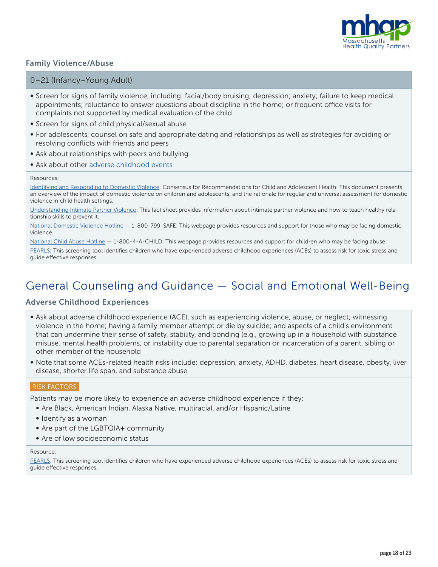

# Family Violence/Abuse

#### 0–21 (Infancy–Young Adult)

- Screen for signs of family violence, including: facial/body bruising; depression; anxiety; failure to keep medical appointments; reluctance to answer questions about discipline in the home; or frequent office visits for complaints not supported by medical evaluation of the child
- Screen for signs of child physical/sexual abuse
- For adolescents, counsel on safe and appropriate dating and relationships as well as strategies for avoiding or resolving conflicts with friends and peers
- Ask about relationships with peers and bullying
- Ask about other [adverse childhood events](https://www.cdc.gov/violenceprevention/pdf/preventingACES.pdf)

#### Resources:

[Identifying and Responding to Domestic Violence: Consensus for Recommendations for Child and Adolescent Health: This document presents](http://www.futureswithoutviolence.org/userfiles/file/HealthCare/pediatric.pdf)  [an overview of the impact of domestic violence on children and adolescents, and the rationale for regular and universal assessment for domestic](http://www.futureswithoutviolence.org/userfiles/file/HealthCare/pediatric.pdf)  [violence in child health settings.](http://www.futureswithoutviolence.org/userfiles/file/HealthCare/pediatric.pdf)

[Understanding Intimate Partner Violence: This fact sheet provides information about intimate partner violence and how to teach healthy rela](https://www.cdc.gov/violenceprevention/intimatepartnerviolence/fastfact.html)[tionship skills to prevent it.](https://www.cdc.gov/violenceprevention/intimatepartnerviolence/fastfact.html)

[National Domestic Violence Hotline](https://www.thehotline.org/) — 1-800-799-SAFE: This webpage provides resources and support for those who may be facing domestic violence.

[National Child Abuse Hotline](https://www.childhelp.org/) — 1-800-4-A-CHILD: This webpage provides resources and support for children who may be facing abuse.

[PEARLS:](https://www.acesaware.org/learn-about-screening/screening-tools/) This screening tool identifies children who have experienced adverse childhood experiences (ACEs) to assess risk for toxic stress and guide effective responses.

# General Counseling and Guidance — Social and Emotional Well-Being

#### Adverse Childhood Experiences

- Ask about adverse childhood experience (ACE), such as experiencing violence, abuse, or neglect; witnessing violence in the home; having a family member attempt or die by suicide; and aspects of a child's environment that can undermine their sense of safety, stability, and bonding (e.g., growing up in a household with substance misuse, mental health problems, or instability due to parental separation or incarceration of a parent, sibling or other member of the household
- Note that some ACEs-related health risks include: depression, anxiety, ADHD, diabetes, heart disease, obesity, liver disease, shorter life span, and substance abuse

#### RISK FACTORS

Patients may be more likely to experience an adverse childhood experience if they:

- Are Black, American Indian, Alaska Native, multiracial, and/or Hispanic/Latine
- Identify as a woman
- Are part of the LGBTQIA+ community
- Are of low socioeconomic status

#### Resource:

[PEARLS:](https://www.acesaware.org/learn-about-screening/screening-tools/) This screening tool identifies children who have experienced adverse childhood experiences (ACEs) to assess risk for toxic stress and guide effective responses.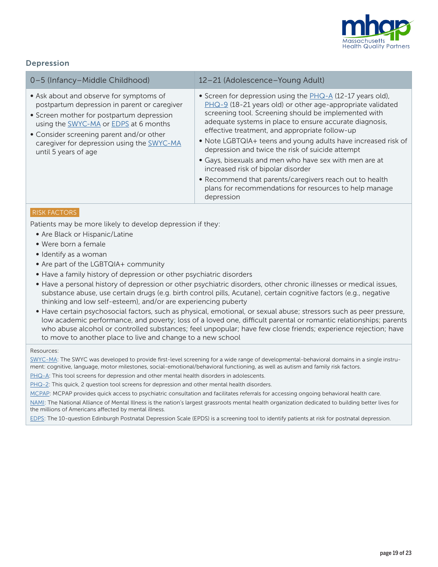

# Depression

| 0-5 (Infancy-Middle Childhood)                                                                                                                                                                                                                                                                  | 12-21 (Adolescence-Young Adult)                                                                                                                                                                                                                                                                                                                                                                                                                                                                                                                                                                                                                           |
|-------------------------------------------------------------------------------------------------------------------------------------------------------------------------------------------------------------------------------------------------------------------------------------------------|-----------------------------------------------------------------------------------------------------------------------------------------------------------------------------------------------------------------------------------------------------------------------------------------------------------------------------------------------------------------------------------------------------------------------------------------------------------------------------------------------------------------------------------------------------------------------------------------------------------------------------------------------------------|
| • Ask about and observe for symptoms of<br>postpartum depression in parent or caregiver<br>• Screen mother for postpartum depression<br>using the SWYC-MA or EDPS at 6 months<br>• Consider screening parent and/or other<br>caregiver for depression using the SWYC-MA<br>until 5 years of age | • Screen for depression using the $PHQ-A$ (12-17 years old),<br>$PHQ-9$ (18-21 years old) or other age-appropriate validated<br>screening tool. Screening should be implemented with<br>adequate systems in place to ensure accurate diagnosis,<br>effective treatment, and appropriate follow-up<br>• Note LGBTQIA+ teens and young adults have increased risk of<br>depression and twice the risk of suicide attempt<br>• Gays, bisexuals and men who have sex with men are at<br>increased risk of bipolar disorder<br>• Recommend that parents/caregivers reach out to health<br>plans for recommendations for resources to help manage<br>depression |

#### RISK FACTORS

Patients may be more likely to develop depression if they:

- Are Black or Hispanic/Latine
- Were born a female
- Identify as a woman
- Are part of the LGBTQIA+ community
- Have a family history of depression or other psychiatric disorders
- Have a personal history of depression or other psychiatric disorders, other chronic illnesses or medical issues, substance abuse, use certain drugs (e.g. birth control pills, Acutane), certain cognitive factors (e.g., negative thinking and low self-esteem), and/or are experiencing puberty
- Have certain psychosocial factors, such as physical, emotional, or sexual abuse; stressors such as peer pressure, low academic performance, and poverty; loss of a loved one, difficult parental or romantic relationships; parents who abuse alcohol or controlled substances; feel unpopular; have few close friends; experience rejection; have to move to another place to live and change to a new school

#### Resources:

[SWYC-MA:](https://www.mass.gov/info-details/learn-about-the-approved-masshealth-screening-tools) The SWYC was developed to provide first-level screening for a wide range of developmental-behavioral domains in a single instrument: cognitive, language, motor milestones, social-emotional/behavioral functioning, as well as autism and family risk factors.

[PHQ-A](https://www.ohsu.edu/sites/default/files/2019-06/phq-a_0.pdf): This tool screens for depression and other mental health disorders in adolescents.

[PHQ-2](https://cde.drugabuse.gov/sites/nida_cde/files/PatientHealthQuestionnaire-2_v1.0_2014Jul2.pdf): This quick, 2 question tool screens for depression and other mental health disorders.

[MCPAP](https://www.mcpap.com/): MCPAP provides quick access to psychiatric consultation and facilitates referrals for accessing ongoing behavioral health care.

[NAMI](https://www.nami.org/Home): The National Alliance of Mental Illness is the nation's largest grassroots mental health organization dedicated to building better lives for the millions of Americans affected by mental illness.

[EDPS:](https://www.fresno.ucsf.edu/pediatrics/downloads/edinburghscale.pdf) The 10-question Edinburgh Postnatal Depression Scale (EPDS) is a screening tool to identify patients at risk for postnatal depression.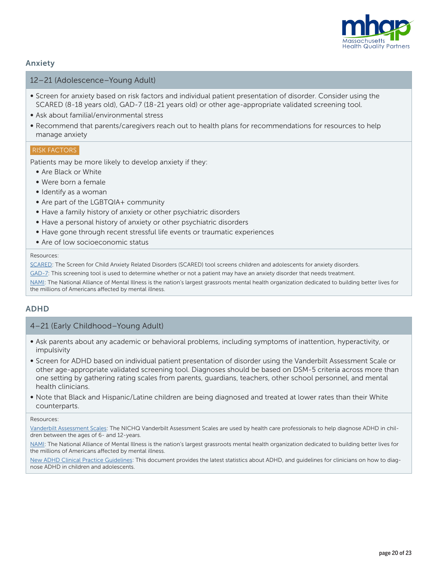

## Anxiety

## 12–21 (Adolescence–Young Adult)

- Screen for anxiety based on risk factors and individual patient presentation of disorder. Consider using the SCARED (8-18 years old), GAD-7 (18-21 years old) or other age-appropriate validated screening tool.
- Ask about familial/environmental stress
- Recommend that parents/caregivers reach out to health plans for recommendations for resources to help manage anxiety

#### RISK FACTORS

Patients may be more likely to develop anxiety if they:

- Are Black or White
- Were born a female
- Identify as a woman
- Are part of the LGBTQIA+ community
- Have a family history of anxiety or other psychiatric disorders
- Have a personal history of anxiety or other psychiatric disorders
- Have gone through recent stressful life events or traumatic experiences
- Are of low socioeconomic status

#### Resources:

[SCARED:](https://www.pediatricbipolar.pitt.edu/sites/default/files/SCAREDParentVersion_1.19.18_0.pdf) The Screen for Child Anxiety Related Disorders (SCARED) tool screens children and adolescents for anxiety disorders.

[GAD-7](https://adaa.org/sites/default/files/GAD-7_Anxiety-updated_0.pdf): This screening tool is used to determine whether or not a patient may have an anxiety disorder that needs treatment.

[NAMI](https://www.nami.org/Home): The National Alliance of Mental Illness is the nation's largest grassroots mental health organization dedicated to building better lives for the millions of Americans affected by mental illness.

#### ADHD

#### 4–21 (Early Childhood–Young Adult)

- Ask parents about any academic or behavioral problems, including symptoms of inattention, hyperactivity, or impulsivity
- Screen for ADHD based on individual patient presentation of disorder using the Vanderbilt Assessment Scale or other age-appropriate validated screening tool. Diagnoses should be based on DSM-5 criteria across more than one setting by gathering rating scales from parents, guardians, teachers, other school personnel, and mental health clinicians.
- Note that Black and Hispanic/Latine children are being diagnosed and treated at lower rates than their White counterparts.

#### Resources:

[Vanderbilt Assessment Scales:](https://www.nichq.org/sites/default/files/resource-file/NICHQ_Vanderbilt_Assessment_Scales.pdf) The NICHQ Vanderbilt Assessment Scales are used by health care professionals to help diagnose ADHD in children between the ages of 6- and 12-years.

[NAMI](https://www.nami.org/Home): The National Alliance of Mental Illness is the nation's largest grassroots mental health organization dedicated to building better lives for the millions of Americans affected by mental illness.

[New ADHD Clinical Practice Guidelines:](https://www.jwatch.org/na50119/2019/10/16/new-adhd-clinical-practice-guidelines) This document provides the latest statistics about ADHD, and guidelines for clinicians on how to diagnose ADHD in children and adolescents.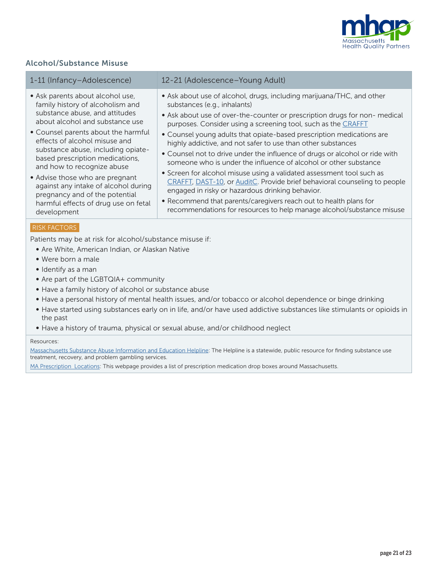

# Alcohol/Substance Misuse

| 1-11 (Infancy-Adolescence)                                                                                                                                                  | 12-21 (Adolescence-Young Adult)                                                                                                                                                                                                                                                          |
|-----------------------------------------------------------------------------------------------------------------------------------------------------------------------------|------------------------------------------------------------------------------------------------------------------------------------------------------------------------------------------------------------------------------------------------------------------------------------------|
| • Ask parents about alcohol use,                                                                                                                                            | • Ask about use of alcohol, drugs, including marijuana/THC, and other                                                                                                                                                                                                                    |
| family history of alcoholism and                                                                                                                                            | substances (e.g., inhalants)                                                                                                                                                                                                                                                             |
| substance abuse, and attitudes                                                                                                                                              | • Ask about use of over-the-counter or prescription drugs for non- medical                                                                                                                                                                                                               |
| about alcohol and substance use                                                                                                                                             | purposes. Consider using a screening tool, such as the CRAFFT                                                                                                                                                                                                                            |
| • Counsel parents about the harmful<br>effects of alcohol misuse and<br>substance abuse, including opiate-<br>based prescription medications,<br>and how to recognize abuse | • Counsel young adults that opiate-based prescription medications are<br>highly addictive, and not safer to use than other substances<br>• Counsel not to drive under the influence of drugs or alcohol or ride with<br>someone who is under the influence of alcohol or other substance |
| • Advise those who are pregnant                                                                                                                                             | • Screen for alcohol misuse using a validated assessment tool such as                                                                                                                                                                                                                    |
| against any intake of alcohol during                                                                                                                                        | CRAFFT, DAST-10, or AuditC. Provide brief behavioral counseling to people                                                                                                                                                                                                                |
| pregnancy and of the potential                                                                                                                                              | engaged in risky or hazardous drinking behavior.                                                                                                                                                                                                                                         |
| harmful effects of drug use on fetal                                                                                                                                        | • Recommend that parents/caregivers reach out to health plans for                                                                                                                                                                                                                        |
| development                                                                                                                                                                 | recommendations for resources to help manage alcohol/substance misuse                                                                                                                                                                                                                    |

#### RISK FACTORS

Patients may be at risk for alcohol/substance misuse if:

- Are White, American Indian, or Alaskan Native
- Were born a male
- Identify as a man
- Are part of the LGBTQIA+ community
- Have a family history of alcohol or substance abuse
- Have a personal history of mental health issues, and/or tobacco or alcohol dependence or binge drinking
- Have started using substances early on in life, and/or have used addictive substances like stimulants or opioids in the past
- Have a history of trauma, physical or sexual abuse, and/or childhood neglect

#### Resources:

[Massachusetts Substance Abuse Information and Education Helpline:](https://helplinema.org/) The Helpline is a statewide, public resource for finding substance use treatment, recovery, and problem gambling services.

[MA Prescription Locations](https://www.mass.gov/service-details/prescription-dropbox-locations): This webpage provides a list of prescription medication drop boxes around Massachusetts.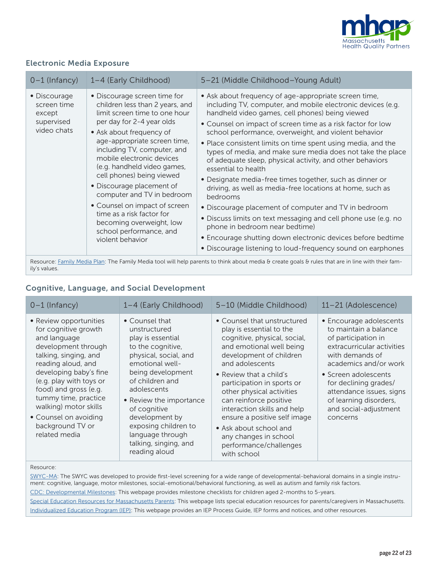

# Electronic Media Exposure

| $0-1$ (Infancy)                                                                                                                                   | 1-4 (Early Childhood)                                                                                                                                                                                                                                                                                                                                                                                                                                                                                                 | 5-21 (Middle Childhood-Young Adult)                                                                                                                                                                                                                                                                                                                                                                                                                                                                                                                                                                                                                                                                                                                                                                                                                                                                                                              |
|---------------------------------------------------------------------------------------------------------------------------------------------------|-----------------------------------------------------------------------------------------------------------------------------------------------------------------------------------------------------------------------------------------------------------------------------------------------------------------------------------------------------------------------------------------------------------------------------------------------------------------------------------------------------------------------|--------------------------------------------------------------------------------------------------------------------------------------------------------------------------------------------------------------------------------------------------------------------------------------------------------------------------------------------------------------------------------------------------------------------------------------------------------------------------------------------------------------------------------------------------------------------------------------------------------------------------------------------------------------------------------------------------------------------------------------------------------------------------------------------------------------------------------------------------------------------------------------------------------------------------------------------------|
| • Discourage<br>screen time<br>except<br>supervised<br>video chats                                                                                | • Discourage screen time for<br>children less than 2 years, and<br>limit screen time to one hour<br>per day for 2-4 year olds<br>• Ask about frequency of<br>age-appropriate screen time,<br>including TV, computer, and<br>mobile electronic devices<br>(e.g. handheld video games,<br>cell phones) being viewed<br>• Discourage placement of<br>computer and TV in bedroom<br>• Counsel on impact of screen<br>time as a risk factor for<br>becoming overweight, low<br>school performance, and<br>violent behavior | • Ask about frequency of age-appropriate screen time,<br>including TV, computer, and mobile electronic devices (e.g.<br>handheld video games, cell phones) being viewed<br>• Counsel on impact of screen time as a risk factor for low<br>school performance, overweight, and violent behavior<br>• Place consistent limits on time spent using media, and the<br>types of media, and make sure media does not take the place<br>of adequate sleep, physical activity, and other behaviors<br>essential to health<br>• Designate media-free times together, such as dinner or<br>driving, as well as media-free locations at home, such as<br>bedrooms<br>• Discourage placement of computer and TV in bedroom<br>• Discuss limits on text messaging and cell phone use (e.g. no<br>phone in bedroom near bedtime)<br>• Encourage shutting down electronic devices before bedtime<br>• Discourage listening to loud-frequency sound on earphones |
| Resource: Family Media Plan: The Family Media tool will help parents to think about media & create goals & rules that are in line with their fam- |                                                                                                                                                                                                                                                                                                                                                                                                                                                                                                                       |                                                                                                                                                                                                                                                                                                                                                                                                                                                                                                                                                                                                                                                                                                                                                                                                                                                                                                                                                  |

Resource: Eamily Media Plan: The Family Media tool will help parents to think about media & create goals & rules that are in line with their family's values.

# Cognitive, Language, and Social Development

| $0-1$ (Infancy)                                                                                                                                                                                                                                                                                                                   | 1-4 (Early Childhood)                                                                                                                                                                                                                                                                                                          | 5-10 (Middle Childhood)                                                                                                                                                                                                                                                                                                                                                                                                                      | 11-21 (Adolescence)                                                                                                                                                                                                                                                                           |
|-----------------------------------------------------------------------------------------------------------------------------------------------------------------------------------------------------------------------------------------------------------------------------------------------------------------------------------|--------------------------------------------------------------------------------------------------------------------------------------------------------------------------------------------------------------------------------------------------------------------------------------------------------------------------------|----------------------------------------------------------------------------------------------------------------------------------------------------------------------------------------------------------------------------------------------------------------------------------------------------------------------------------------------------------------------------------------------------------------------------------------------|-----------------------------------------------------------------------------------------------------------------------------------------------------------------------------------------------------------------------------------------------------------------------------------------------|
| • Review opportunities<br>for cognitive growth<br>and language<br>development through<br>talking, singing, and<br>reading aloud, and<br>developing baby's fine<br>(e.g. play with toys or<br>food) and gross (e.g.<br>tummy time, practice<br>walking) motor skills<br>• Counsel on avoiding<br>background TV or<br>related media | • Counsel that<br>unstructured<br>play is essential<br>to the cognitive,<br>physical, social, and<br>emotional well-<br>being development<br>of children and<br>adolescents<br>• Review the importance<br>of cognitive<br>development by<br>exposing children to<br>language through<br>talking, singing, and<br>reading aloud | • Counsel that unstructured<br>play is essential to the<br>cognitive, physical, social,<br>and emotional well being<br>development of children<br>and adolescents<br>• Review that a child's<br>participation in sports or<br>other physical activities<br>can reinforce positive<br>interaction skills and help<br>ensure a positive self image<br>• Ask about school and<br>any changes in school<br>performance/challenges<br>with school | • Encourage adolescents<br>to maintain a balance<br>of participation in<br>extracurricular activities<br>with demands of<br>academics and/or work<br>• Screen adolescents<br>for declining grades/<br>attendance issues, signs<br>of learning disorders,<br>and social-adjustment<br>concerns |

#### Resource:

[SWYC-MA:](https://www.floatinghospital.org/The-Survey-of-Wellbeing-of-Young-Children/Age-Specific-Forms) The SWYC was developed to provide first-level screening for a wide range of developmental-behavioral domains in a single instrument: cognitive, language, motor milestones, social-emotional/behavioral functioning, as well as autism and family risk factors. [CDC: Developmental Milestones:](https://www.cdc.gov/ncbddd/actearly/milestones/index.html) This webpage provides milestone checklists for children aged 2-months to 5-years. [Special Education Resources for Massachusetts Parents:](https://blog.mass.gov/blog/education-2/special-education-resources-for-massachusetts-parents/) This webpage lists special education resources for parents/caregivers in Massachusetts. [Individualized Education Program \(IEP\):](https://www.doe.mass.edu/sped/iep/) This webpage provides an IEP Process Guide, IEP forms and notices, and other resources.